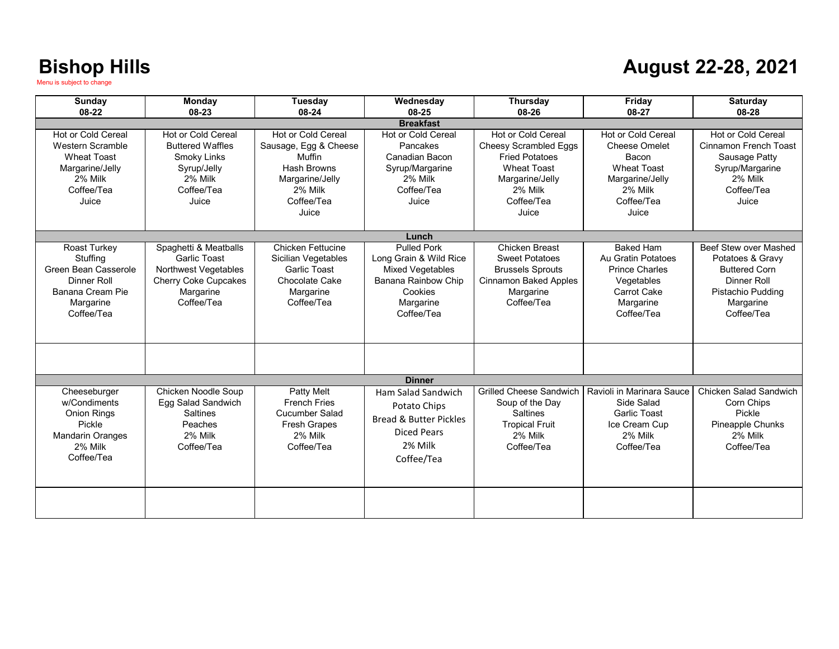### **August 22-28, 2021**

| Sunday<br>08-22                                                                                                                 | Monday<br>08-23                                                                                                         | Tuesday<br>08-24                                                                                                                 | Wednesday<br>08-25                                                                                                                   | Thursday<br>08-26                                                                                                                                      | Friday<br>08-27                                                                                                                       | Saturday<br>08-28                                                                                                                       |
|---------------------------------------------------------------------------------------------------------------------------------|-------------------------------------------------------------------------------------------------------------------------|----------------------------------------------------------------------------------------------------------------------------------|--------------------------------------------------------------------------------------------------------------------------------------|--------------------------------------------------------------------------------------------------------------------------------------------------------|---------------------------------------------------------------------------------------------------------------------------------------|-----------------------------------------------------------------------------------------------------------------------------------------|
|                                                                                                                                 |                                                                                                                         |                                                                                                                                  | <b>Breakfast</b>                                                                                                                     |                                                                                                                                                        |                                                                                                                                       |                                                                                                                                         |
| <b>Hot or Cold Cereal</b><br><b>Western Scramble</b><br><b>Wheat Toast</b><br>Margarine/Jelly<br>2% Milk<br>Coffee/Tea<br>Juice | <b>Hot or Cold Cereal</b><br><b>Buttered Waffles</b><br>Smoky Links<br>Syrup/Jelly<br>2% Milk<br>Coffee/Tea<br>Juice    | Hot or Cold Cereal<br>Sausage, Egg & Cheese<br>Muffin<br><b>Hash Browns</b><br>Margarine/Jelly<br>2% Milk<br>Coffee/Tea<br>Juice | Hot or Cold Cereal<br>Pancakes<br>Canadian Bacon<br>Syrup/Margarine<br>2% Milk<br>Coffee/Tea<br>Juice                                | Hot or Cold Cereal<br><b>Cheesy Scrambled Eggs</b><br><b>Fried Potatoes</b><br><b>Wheat Toast</b><br>Margarine/Jelly<br>2% Milk<br>Coffee/Tea<br>Juice | <b>Hot or Cold Cereal</b><br><b>Cheese Omelet</b><br>Bacon<br><b>Wheat Toast</b><br>Margarine/Jelly<br>2% Milk<br>Coffee/Tea<br>Juice | Hot or Cold Cereal<br>Cinnamon French Toast<br>Sausage Patty<br>Syrup/Margarine<br>2% Milk<br>Coffee/Tea<br>Juice                       |
|                                                                                                                                 |                                                                                                                         |                                                                                                                                  | Lunch                                                                                                                                |                                                                                                                                                        |                                                                                                                                       |                                                                                                                                         |
| Roast Turkey<br>Stuffing<br>Green Bean Casserole<br>Dinner Roll<br>Banana Cream Pie<br>Margarine<br>Coffee/Tea                  | Spaghetti & Meatballs<br><b>Garlic Toast</b><br>Northwest Vegetables<br>Cherry Coke Cupcakes<br>Margarine<br>Coffee/Tea | <b>Chicken Fettucine</b><br>Sicilian Vegetables<br><b>Garlic Toast</b><br>Chocolate Cake<br>Margarine<br>Coffee/Tea              | <b>Pulled Pork</b><br>Long Grain & Wild Rice<br><b>Mixed Vegetables</b><br>Banana Rainbow Chip<br>Cookies<br>Margarine<br>Coffee/Tea | Chicken Breast<br><b>Sweet Potatoes</b><br><b>Brussels Sprouts</b><br><b>Cinnamon Baked Apples</b><br>Margarine<br>Coffee/Tea                          | <b>Baked Ham</b><br>Au Gratin Potatoes<br><b>Prince Charles</b><br>Vegetables<br><b>Carrot Cake</b><br>Margarine<br>Coffee/Tea        | Beef Stew over Mashed<br>Potatoes & Gravy<br><b>Buttered Corn</b><br><b>Dinner Roll</b><br>Pistachio Pudding<br>Margarine<br>Coffee/Tea |
|                                                                                                                                 |                                                                                                                         |                                                                                                                                  |                                                                                                                                      |                                                                                                                                                        |                                                                                                                                       |                                                                                                                                         |
|                                                                                                                                 |                                                                                                                         |                                                                                                                                  | <b>Dinner</b>                                                                                                                        |                                                                                                                                                        |                                                                                                                                       |                                                                                                                                         |
| Cheeseburger<br>w/Condiments<br><b>Onion Rings</b><br>Pickle<br><b>Mandarin Oranges</b><br>2% Milk<br>Coffee/Tea                | Chicken Noodle Soup<br>Egg Salad Sandwich<br><b>Saltines</b><br>Peaches<br>2% Milk<br>Coffee/Tea                        | Patty Melt<br><b>French Fries</b><br>Cucumber Salad<br><b>Fresh Grapes</b><br>2% Milk<br>Coffee/Tea                              | Ham Salad Sandwich<br>Potato Chips<br><b>Bread &amp; Butter Pickles</b><br><b>Diced Pears</b><br>2% Milk<br>Coffee/Tea               | <b>Grilled Cheese Sandwich</b><br>Soup of the Day<br><b>Saltines</b><br><b>Tropical Fruit</b><br>2% Milk<br>Coffee/Tea                                 | Ravioli in Marinara Sauce<br>Side Salad<br><b>Garlic Toast</b><br>Ice Cream Cup<br>2% Milk<br>Coffee/Tea                              | Chicken Salad Sandwich<br>Corn Chips<br>Pickle<br><b>Pineapple Chunks</b><br>2% Milk<br>Coffee/Tea                                      |
|                                                                                                                                 |                                                                                                                         |                                                                                                                                  |                                                                                                                                      |                                                                                                                                                        |                                                                                                                                       |                                                                                                                                         |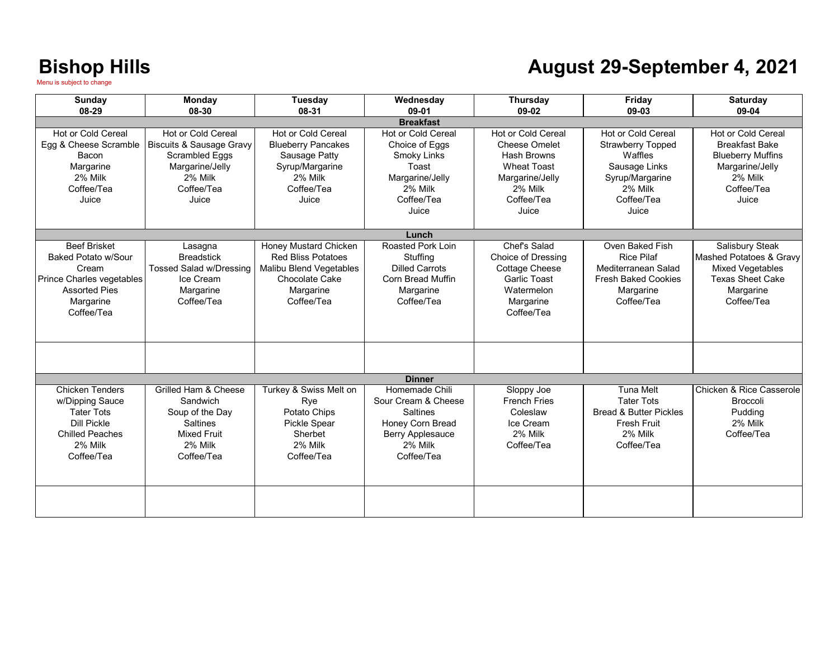#### **August 29-September 4, 2021**

| Sunday                                                                                                                                  | Monday                                                                                                                                  | Tuesday                                                                                                                      | Wednesday                                                                                                                 | Thursday                                                                                                                                           | Friday                                                                                                                          | <b>Saturday</b>                                                                                                                     |  |
|-----------------------------------------------------------------------------------------------------------------------------------------|-----------------------------------------------------------------------------------------------------------------------------------------|------------------------------------------------------------------------------------------------------------------------------|---------------------------------------------------------------------------------------------------------------------------|----------------------------------------------------------------------------------------------------------------------------------------------------|---------------------------------------------------------------------------------------------------------------------------------|-------------------------------------------------------------------------------------------------------------------------------------|--|
| 08-29                                                                                                                                   | 08-30                                                                                                                                   | 08-31                                                                                                                        | 09-01                                                                                                                     | 09-02                                                                                                                                              | 09-03                                                                                                                           | 09-04                                                                                                                               |  |
| <b>Breakfast</b>                                                                                                                        |                                                                                                                                         |                                                                                                                              |                                                                                                                           |                                                                                                                                                    |                                                                                                                                 |                                                                                                                                     |  |
| <b>Hot or Cold Cereal</b><br>Egg & Cheese Scramble<br>Bacon<br>Margarine<br>2% Milk<br>Coffee/Tea<br>Juice                              | <b>Hot or Cold Cereal</b><br><b>Biscuits &amp; Sausage Gravy</b><br>Scrambled Eggs<br>Margarine/Jelly<br>2% Milk<br>Coffee/Tea<br>Juice | <b>Hot or Cold Cereal</b><br><b>Blueberry Pancakes</b><br>Sausage Patty<br>Syrup/Margarine<br>2% Milk<br>Coffee/Tea<br>Juice | <b>Hot or Cold Cereal</b><br>Choice of Eggs<br>Smoky Links<br>Toast<br>Margarine/Jelly<br>2% Milk<br>Coffee/Tea<br>Juice  | <b>Hot or Cold Cereal</b><br><b>Cheese Omelet</b><br><b>Hash Browns</b><br><b>Wheat Toast</b><br>Margarine/Jelly<br>2% Milk<br>Coffee/Tea<br>Juice | Hot or Cold Cereal<br><b>Strawberry Topped</b><br>Waffles<br>Sausage Links<br>Syrup/Margarine<br>2% Milk<br>Coffee/Tea<br>Juice | <b>Hot or Cold Cereal</b><br><b>Breakfast Bake</b><br><b>Blueberry Muffins</b><br>Margarine/Jelly<br>2% Milk<br>Coffee/Tea<br>Juice |  |
|                                                                                                                                         |                                                                                                                                         |                                                                                                                              | Lunch                                                                                                                     |                                                                                                                                                    |                                                                                                                                 |                                                                                                                                     |  |
| <b>Beef Brisket</b><br>Baked Potato w/Sour<br>Cream<br>Prince Charles vegetables<br><b>Assorted Pies</b><br>Margarine<br>Coffee/Tea     | Lasagna<br><b>Breadstick</b><br>Tossed Salad w/Dressing<br>Ice Cream<br>Margarine<br>Coffee/Tea                                         | Honey Mustard Chicken<br><b>Red Bliss Potatoes</b><br>Malibu Blend Vegetables<br>Chocolate Cake<br>Margarine<br>Coffee/Tea   | Roasted Pork Loin<br>Stuffing<br><b>Dilled Carrots</b><br><b>Corn Bread Muffin</b><br>Margarine<br>Coffee/Tea             | Chef's Salad<br><b>Choice of Dressing</b><br><b>Cottage Cheese</b><br><b>Garlic Toast</b><br>Watermelon<br>Margarine<br>Coffee/Tea                 | Oven Baked Fish<br><b>Rice Pilaf</b><br>Mediterranean Salad<br><b>Fresh Baked Cookies</b><br>Margarine<br>Coffee/Tea            | Salisbury Steak<br>Mashed Potatoes & Gravy<br><b>Mixed Vegetables</b><br><b>Texas Sheet Cake</b><br>Margarine<br>Coffee/Tea         |  |
|                                                                                                                                         |                                                                                                                                         |                                                                                                                              | <b>Dinner</b>                                                                                                             |                                                                                                                                                    |                                                                                                                                 |                                                                                                                                     |  |
| <b>Chicken Tenders</b><br>w/Dipping Sauce<br><b>Tater Tots</b><br><b>Dill Pickle</b><br><b>Chilled Peaches</b><br>2% Milk<br>Coffee/Tea | Grilled Ham & Cheese<br>Sandwich<br>Soup of the Day<br><b>Saltines</b><br><b>Mixed Fruit</b><br>2% Milk<br>Coffee/Tea                   | Turkey & Swiss Melt on<br>Rye<br>Potato Chips<br><b>Pickle Spear</b><br>Sherbet<br>2% Milk<br>Coffee/Tea                     | Homemade Chili<br>Sour Cream & Cheese<br><b>Saltines</b><br>Honey Corn Bread<br>Berry Applesauce<br>2% Milk<br>Coffee/Tea | Sloppy Joe<br><b>French Fries</b><br>Coleslaw<br>Ice Cream<br>2% Milk<br>Coffee/Tea                                                                | <b>Tuna Melt</b><br><b>Tater Tots</b><br><b>Bread &amp; Butter Pickles</b><br><b>Fresh Fruit</b><br>2% Milk<br>Coffee/Tea       | Chicken & Rice Casserole<br><b>Broccoli</b><br>Pudding<br>2% Milk<br>Coffee/Tea                                                     |  |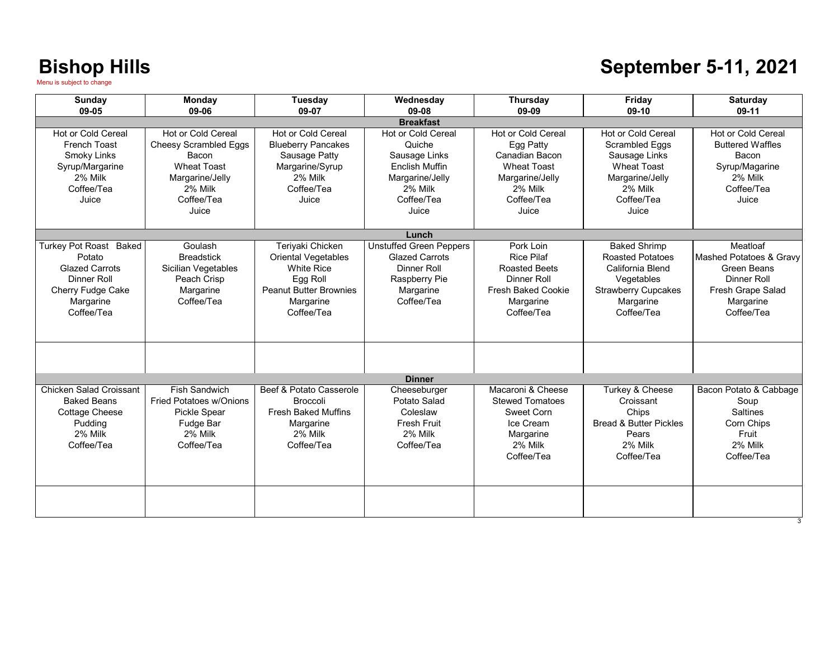### **September 5-11, 2021**

| <b>Sunday</b><br>09-05                                                                                                          | Monday<br>09-06                                                                                                                               | Tuesday<br>09-07                                                                                                                            | Wednesday<br>09-08                                                                                                          | <b>Thursday</b><br>09-09                                                                                                             | Friday<br>09-10                                                                                                                           | <b>Saturday</b><br>09-11                                                                                                 |  |
|---------------------------------------------------------------------------------------------------------------------------------|-----------------------------------------------------------------------------------------------------------------------------------------------|---------------------------------------------------------------------------------------------------------------------------------------------|-----------------------------------------------------------------------------------------------------------------------------|--------------------------------------------------------------------------------------------------------------------------------------|-------------------------------------------------------------------------------------------------------------------------------------------|--------------------------------------------------------------------------------------------------------------------------|--|
| <b>Breakfast</b>                                                                                                                |                                                                                                                                               |                                                                                                                                             |                                                                                                                             |                                                                                                                                      |                                                                                                                                           |                                                                                                                          |  |
| Hot or Cold Cereal<br>French Toast<br>Smoky Links<br>Syrup/Margarine<br>2% Milk<br>Coffee/Tea<br>Juice                          | <b>Hot or Cold Cereal</b><br><b>Cheesy Scrambled Eggs</b><br>Bacon<br><b>Wheat Toast</b><br>Margarine/Jelly<br>2% Milk<br>Coffee/Tea<br>Juice | Hot or Cold Cereal<br><b>Blueberry Pancakes</b><br>Sausage Patty<br>Margarine/Syrup<br>2% Milk<br>Coffee/Tea<br>Juice                       | Hot or Cold Cereal<br>Quiche<br>Sausage Links<br><b>Enclish Muffin</b><br>Margarine/Jelly<br>2% Milk<br>Coffee/Tea<br>Juice | Hot or Cold Cereal<br>Egg Patty<br>Canadian Bacon<br><b>Wheat Toast</b><br>Margarine/Jelly<br>2% Milk<br>Coffee/Tea<br>Juice         | Hot or Cold Cereal<br><b>Scrambled Eggs</b><br>Sausage Links<br><b>Wheat Toast</b><br>Margarine/Jelly<br>2% Milk<br>Coffee/Tea<br>Juice   | Hot or Cold Cereal<br><b>Buttered Waffles</b><br>Bacon<br>Syrup/Magarine<br>2% Milk<br>Coffee/Tea<br>Juice               |  |
|                                                                                                                                 |                                                                                                                                               |                                                                                                                                             | Lunch                                                                                                                       |                                                                                                                                      |                                                                                                                                           |                                                                                                                          |  |
| Turkey Pot Roast Baked<br>Potato<br><b>Glazed Carrots</b><br><b>Dinner Roll</b><br>Cherry Fudge Cake<br>Margarine<br>Coffee/Tea | Goulash<br><b>Breadstick</b><br>Sicilian Vegetables<br>Peach Crisp<br>Margarine<br>Coffee/Tea                                                 | Teriyaki Chicken<br><b>Oriental Vegetables</b><br><b>White Rice</b><br>Egg Roll<br><b>Peanut Butter Brownies</b><br>Margarine<br>Coffee/Tea | <b>Unstuffed Green Peppers</b><br><b>Glazed Carrots</b><br>Dinner Roll<br>Raspberry Pie<br>Margarine<br>Coffee/Tea          | Pork Loin<br><b>Rice Pilaf</b><br><b>Roasted Beets</b><br><b>Dinner Roll</b><br><b>Fresh Baked Cookie</b><br>Margarine<br>Coffee/Tea | <b>Baked Shrimp</b><br><b>Roasted Potatoes</b><br>California Blend<br>Vegetables<br><b>Strawberry Cupcakes</b><br>Margarine<br>Coffee/Tea | Meatloaf<br>Mashed Potatoes & Gravy<br><b>Green Beans</b><br>Dinner Roll<br>Fresh Grape Salad<br>Margarine<br>Coffee/Tea |  |
|                                                                                                                                 |                                                                                                                                               |                                                                                                                                             |                                                                                                                             |                                                                                                                                      |                                                                                                                                           |                                                                                                                          |  |
|                                                                                                                                 |                                                                                                                                               |                                                                                                                                             | <b>Dinner</b>                                                                                                               |                                                                                                                                      |                                                                                                                                           |                                                                                                                          |  |
| Chicken Salad Croissant<br><b>Baked Beans</b><br><b>Cottage Cheese</b><br>Pudding<br>2% Milk<br>Coffee/Tea                      | Fish Sandwich<br>Fried Potatoes w/Onions<br>Pickle Spear<br>Fudge Bar<br>2% Milk<br>Coffee/Tea                                                | Beef & Potato Casserole<br><b>Broccoli</b><br><b>Fresh Baked Muffins</b><br>Margarine<br>2% Milk<br>Coffee/Tea                              | Cheeseburger<br>Potato Salad<br>Coleslaw<br>Fresh Fruit<br>2% Milk<br>Coffee/Tea                                            | Macaroni & Cheese<br><b>Stewed Tomatoes</b><br>Sweet Corn<br>Ice Cream<br>Margarine<br>2% Milk<br>Coffee/Tea                         | Turkey & Cheese<br>Croissant<br>Chips<br><b>Bread &amp; Butter Pickles</b><br>Pears<br>2% Milk<br>Coffee/Tea                              | Bacon Potato & Cabbage<br>Soup<br><b>Saltines</b><br>Corn Chips<br>Fruit<br>2% Milk<br>Coffee/Tea                        |  |
|                                                                                                                                 |                                                                                                                                               |                                                                                                                                             |                                                                                                                             |                                                                                                                                      |                                                                                                                                           |                                                                                                                          |  |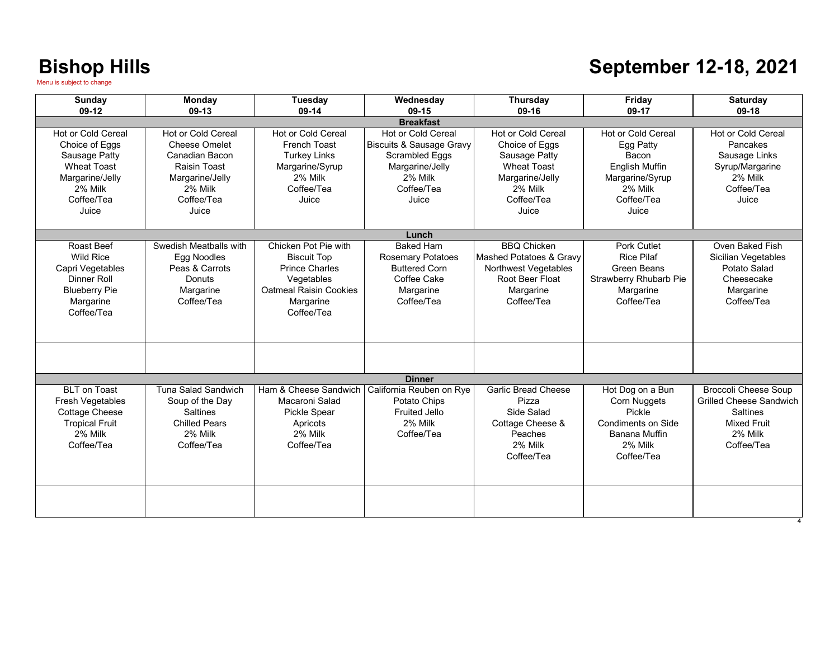### **September 12-18, 2021**

| Sunday                                                                                                                                  | Monday                                                                                                                            | Tuesday                                                                                                                                       | Wednesday                                                                                                                        | Thursday                                                                                                                         | Friday                                                                                                                        | <b>Saturday</b>                                                                                                                 |
|-----------------------------------------------------------------------------------------------------------------------------------------|-----------------------------------------------------------------------------------------------------------------------------------|-----------------------------------------------------------------------------------------------------------------------------------------------|----------------------------------------------------------------------------------------------------------------------------------|----------------------------------------------------------------------------------------------------------------------------------|-------------------------------------------------------------------------------------------------------------------------------|---------------------------------------------------------------------------------------------------------------------------------|
| $09-12$                                                                                                                                 | $09-13$                                                                                                                           | 09-14                                                                                                                                         | $09-15$<br><b>Breakfast</b>                                                                                                      | 09-16                                                                                                                            | 09-17                                                                                                                         | $09-18$                                                                                                                         |
| <b>Hot or Cold Cereal</b><br>Choice of Eggs<br>Sausage Patty<br><b>Wheat Toast</b><br>Margarine/Jelly<br>2% Milk<br>Coffee/Tea<br>Juice | Hot or Cold Cereal<br><b>Cheese Omelet</b><br>Canadian Bacon<br>Raisin Toast<br>Margarine/Jelly<br>2% Milk<br>Coffee/Tea<br>Juice | Hot or Cold Cereal<br><b>French Toast</b><br><b>Turkey Links</b><br>Margarine/Syrup<br>2% Milk<br>Coffee/Tea<br>Juice                         | Hot or Cold Cereal<br><b>Biscuits &amp; Sausage Gravy</b><br>Scrambled Eggs<br>Margarine/Jelly<br>2% Milk<br>Coffee/Tea<br>Juice | Hot or Cold Cereal<br>Choice of Eggs<br>Sausage Patty<br><b>Wheat Toast</b><br>Margarine/Jelly<br>2% Milk<br>Coffee/Tea<br>Juice | <b>Hot or Cold Cereal</b><br>Egg Patty<br>Bacon<br><b>English Muffin</b><br>Margarine/Syrup<br>2% Milk<br>Coffee/Tea<br>Juice | Hot or Cold Cereal<br>Pancakes<br>Sausage Links<br>Syrup/Margarine<br>2% Milk<br>Coffee/Tea<br>Juice                            |
|                                                                                                                                         |                                                                                                                                   |                                                                                                                                               | Lunch                                                                                                                            |                                                                                                                                  |                                                                                                                               |                                                                                                                                 |
| Roast Beef<br><b>Wild Rice</b><br>Capri Vegetables<br>Dinner Roll<br><b>Blueberry Pie</b><br>Margarine<br>Coffee/Tea                    | Swedish Meatballs with<br>Egg Noodles<br>Peas & Carrots<br>Donuts<br>Margarine<br>Coffee/Tea                                      | Chicken Pot Pie with<br><b>Biscuit Top</b><br><b>Prince Charles</b><br>Vegetables<br><b>Oatmeal Raisin Cookies</b><br>Margarine<br>Coffee/Tea | <b>Baked Ham</b><br><b>Rosemary Potatoes</b><br><b>Buttered Corn</b><br>Coffee Cake<br>Margarine<br>Coffee/Tea                   | <b>BBO Chicken</b><br>Mashed Potatoes & Gravy<br>Northwest Vegetables<br>Root Beer Float<br>Margarine<br>Coffee/Tea              | Pork Cutlet<br><b>Rice Pilaf</b><br><b>Green Beans</b><br><b>Strawberry Rhubarb Pie</b><br>Margarine<br>Coffee/Tea            | Oven Baked Fish<br>Sicilian Vegetables<br>Potato Salad<br>Cheesecake<br>Margarine<br>Coffee/Tea                                 |
|                                                                                                                                         |                                                                                                                                   |                                                                                                                                               |                                                                                                                                  |                                                                                                                                  |                                                                                                                               |                                                                                                                                 |
|                                                                                                                                         |                                                                                                                                   |                                                                                                                                               | <b>Dinner</b>                                                                                                                    |                                                                                                                                  |                                                                                                                               |                                                                                                                                 |
| <b>BLT</b> on Toast<br>Fresh Vegetables<br><b>Cottage Cheese</b><br><b>Tropical Fruit</b><br>2% Milk<br>Coffee/Tea                      | Tuna Salad Sandwich<br>Soup of the Day<br><b>Saltines</b><br><b>Chilled Pears</b><br>2% Milk<br>Coffee/Tea                        | Ham & Cheese Sandwich<br>Macaroni Salad<br>Pickle Spear<br>Apricots<br>2% Milk<br>Coffee/Tea                                                  | California Reuben on Rye<br>Potato Chips<br>Fruited Jello<br>2% Milk<br>Coffee/Tea                                               | <b>Garlic Bread Cheese</b><br>Pizza<br>Side Salad<br>Cottage Cheese &<br>Peaches<br>2% Milk<br>Coffee/Tea                        | Hot Dog on a Bun<br>Corn Nuggets<br>Pickle<br>Condiments on Side<br>Banana Muffin<br>2% Milk<br>Coffee/Tea                    | <b>Broccoli Cheese Soup</b><br><b>Grilled Cheese Sandwich</b><br><b>Saltines</b><br><b>Mixed Fruit</b><br>2% Milk<br>Coffee/Tea |
|                                                                                                                                         |                                                                                                                                   |                                                                                                                                               |                                                                                                                                  |                                                                                                                                  |                                                                                                                               |                                                                                                                                 |